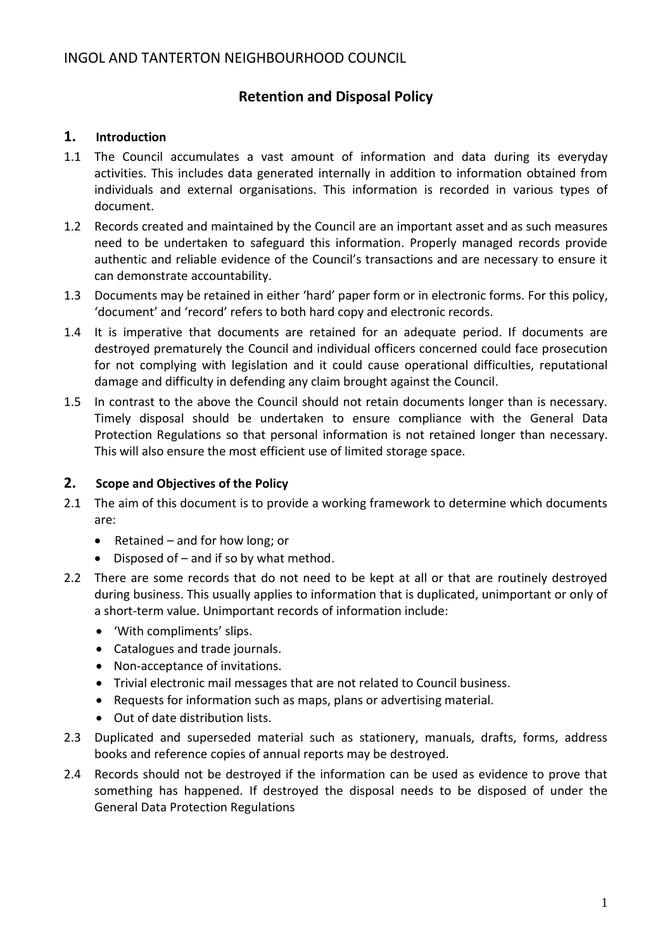# **Retention and Disposal Policy**

### **1. Introduction**

- 1.1 The Council accumulates a vast amount of information and data during its everyday activities. This includes data generated internally in addition to information obtained from individuals and external organisations. This information is recorded in various types of document.
- 1.2 Records created and maintained by the Council are an important asset and as such measures need to be undertaken to safeguard this information. Properly managed records provide authentic and reliable evidence of the Council's transactions and are necessary to ensure it can demonstrate accountability.
- 1.3 Documents may be retained in either 'hard' paper form or in electronic forms. For this policy, 'document' and 'record' refers to both hard copy and electronic records.
- 1.4 It is imperative that documents are retained for an adequate period. If documents are destroyed prematurely the Council and individual officers concerned could face prosecution for not complying with legislation and it could cause operational difficulties, reputational damage and difficulty in defending any claim brought against the Council.
- 1.5 In contrast to the above the Council should not retain documents longer than is necessary. Timely disposal should be undertaken to ensure compliance with the General Data Protection Regulations so that personal information is not retained longer than necessary. This will also ensure the most efficient use of limited storage space.

### **2. Scope and Objectives of the Policy**

- 2.1 The aim of this document is to provide a working framework to determine which documents are:
	- Retained and for how long; or
	- Disposed of and if so by what method.
- 2.2 There are some records that do not need to be kept at all or that are routinely destroyed during business. This usually applies to information that is duplicated, unimportant or only of a short-term value. Unimportant records of information include:
	- 'With compliments' slips.
	- Catalogues and trade journals.
	- Non-acceptance of invitations.
	- Trivial electronic mail messages that are not related to Council business.
	- Requests for information such as maps, plans or advertising material.
	- Out of date distribution lists.
- 2.3 Duplicated and superseded material such as stationery, manuals, drafts, forms, address books and reference copies of annual reports may be destroyed.
- 2.4 Records should not be destroyed if the information can be used as evidence to prove that something has happened. If destroyed the disposal needs to be disposed of under the General Data Protection Regulations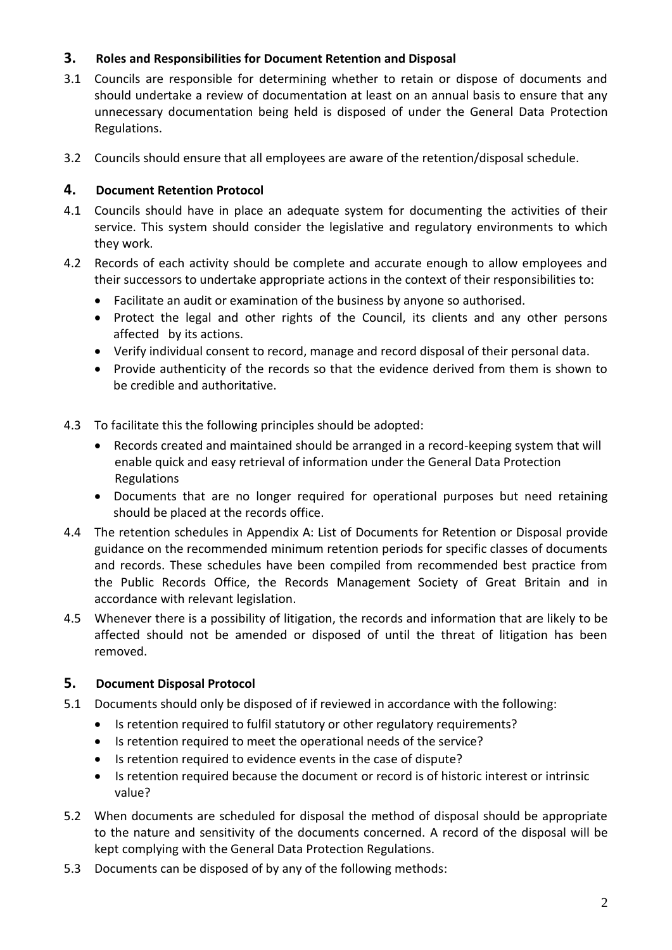# **3. Roles and Responsibilities for Document Retention and Disposal**

- 3.1 Councils are responsible for determining whether to retain or dispose of documents and should undertake a review of documentation at least on an annual basis to ensure that any unnecessary documentation being held is disposed of under the General Data Protection Regulations.
- 3.2 Councils should ensure that all employees are aware of the retention/disposal schedule.

# **4. Document Retention Protocol**

- 4.1 Councils should have in place an adequate system for documenting the activities of their service. This system should consider the legislative and regulatory environments to which they work.
- 4.2 Records of each activity should be complete and accurate enough to allow employees and their successors to undertake appropriate actions in the context of their responsibilities to:
	- Facilitate an audit or examination of the business by anyone so authorised.
	- Protect the legal and other rights of the Council, its clients and any other persons affected by its actions.
	- Verify individual consent to record, manage and record disposal of their personal data.
	- Provide authenticity of the records so that the evidence derived from them is shown to be credible and authoritative.
- 4.3 To facilitate this the following principles should be adopted:
	- Records created and maintained should be arranged in a record-keeping system that will enable quick and easy retrieval of information under the General Data Protection Regulations
	- Documents that are no longer required for operational purposes but need retaining should be placed at the records office.
- 4.4 The retention schedules in Appendix A: List of Documents for Retention or Disposal provide guidance on the recommended minimum retention periods for specific classes of documents and records. These schedules have been compiled from recommended best practice from the Public Records Office, the Records Management Society of Great Britain and in accordance with relevant legislation.
- 4.5 Whenever there is a possibility of litigation, the records and information that are likely to be affected should not be amended or disposed of until the threat of litigation has been removed.

# **5. Document Disposal Protocol**

- 5.1 Documents should only be disposed of if reviewed in accordance with the following:
	- Is retention required to fulfil statutory or other regulatory requirements?
	- Is retention required to meet the operational needs of the service?
	- Is retention required to evidence events in the case of dispute?
	- Is retention required because the document or record is of historic interest or intrinsic value?
- 5.2 When documents are scheduled for disposal the method of disposal should be appropriate to the nature and sensitivity of the documents concerned. A record of the disposal will be kept complying with the General Data Protection Regulations.
- 5.3 Documents can be disposed of by any of the following methods: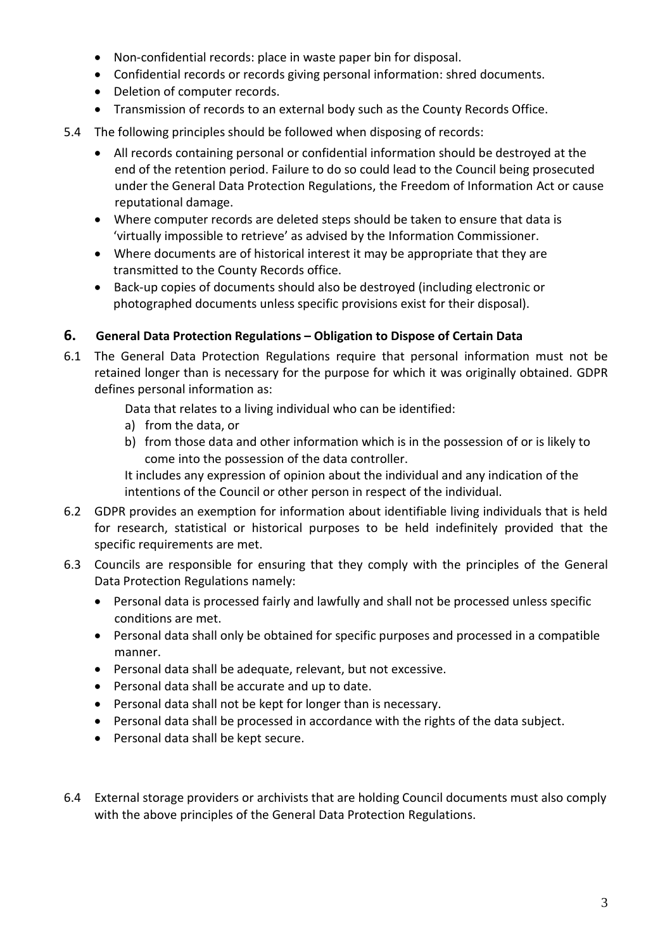- Non-confidential records: place in waste paper bin for disposal.
- Confidential records or records giving personal information: shred documents.
- Deletion of computer records.
- Transmission of records to an external body such as the County Records Office.
- 5.4 The following principles should be followed when disposing of records:
	- All records containing personal or confidential information should be destroyed at the end of the retention period. Failure to do so could lead to the Council being prosecuted under the General Data Protection Regulations, the Freedom of Information Act or cause reputational damage.
	- Where computer records are deleted steps should be taken to ensure that data is 'virtually impossible to retrieve' as advised by the Information Commissioner.
	- Where documents are of historical interest it may be appropriate that they are transmitted to the County Records office.
	- Back-up copies of documents should also be destroyed (including electronic or photographed documents unless specific provisions exist for their disposal).

### **6. General Data Protection Regulations – Obligation to Dispose of Certain Data**

6.1 The General Data Protection Regulations require that personal information must not be retained longer than is necessary for the purpose for which it was originally obtained. GDPR defines personal information as:

Data that relates to a living individual who can be identified:

- a) from the data, or
- b) from those data and other information which is in the possession of or is likely to come into the possession of the data controller.

It includes any expression of opinion about the individual and any indication of the intentions of the Council or other person in respect of the individual.

- 6.2 GDPR provides an exemption for information about identifiable living individuals that is held for research, statistical or historical purposes to be held indefinitely provided that the specific requirements are met.
- 6.3 Councils are responsible for ensuring that they comply with the principles of the General Data Protection Regulations namely:
	- Personal data is processed fairly and lawfully and shall not be processed unless specific conditions are met.
	- Personal data shall only be obtained for specific purposes and processed in a compatible manner.
	- Personal data shall be adequate, relevant, but not excessive.
	- Personal data shall be accurate and up to date.
	- Personal data shall not be kept for longer than is necessary.
	- Personal data shall be processed in accordance with the rights of the data subject.
	- Personal data shall be kept secure.
- 6.4 External storage providers or archivists that are holding Council documents must also comply with the above principles of the General Data Protection Regulations.